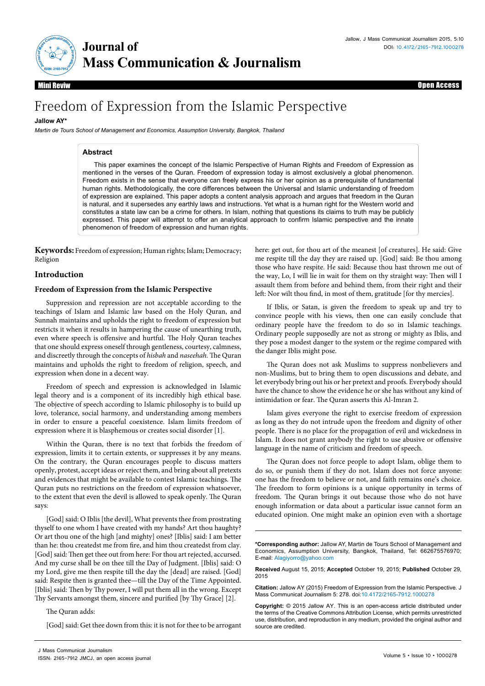

Mini Reviw

Open Access Open Access

# Freedom of Expression from the Islamic Perspective

## **Jallow AY\***

*Martin de Tours School of Management and Economics, Assumption University, Bangkok, Thailand*

#### **Abstract**

This paper examines the concept of the Islamic Perspective of Human Rights and Freedom of Expression as mentioned in the verses of the Quran. Freedom of expression today is almost exclusively a global phenomenon. Freedom exists in the sense that everyone can freely express his or her opinion as a prerequisite of fundamental human rights. Methodologically, the core differences between the Universal and Islamic understanding of freedom of expression are explained. This paper adopts a content analysis approach and argues that freedom in the Quran is natural, and it supersedes any earthly laws and instructions. Yet what is a human right for the Western world and constitutes a state law can be a crime for others. In Islam, nothing that questions its claims to truth may be publicly expressed. This paper will attempt to offer an analytical approach to confirm Islamic perspective and the innate phenomenon of freedom of expression and human rights.

**Keywords:** Freedom of expression; Human rights; Islam; Democracy; Religion

# **Introduction**

### **Freedom of Expression from the Islamic Perspective**

Suppression and repression are not acceptable according to the teachings of Islam and Islamic law based on the Holy Quran, and Sunnah maintains and upholds the right to freedom of expression but restricts it when it results in hampering the cause of unearthing truth, even where speech is offensive and hurtful. The Holy Quran teaches that one should express oneself through gentleness, courtesy, calmness, and discreetly through the concepts of *hisbah* and *naseehah.* The Quran maintains and upholds the right to freedom of religion, speech, and expression when done in a decent way.

Freedom of speech and expression is acknowledged in Islamic legal theory and is a component of its incredibly high ethical base. The objective of speech according to Islamic philosophy is to build up love, tolerance, social harmony, and understanding among members in order to ensure a peaceful coexistence. Islam limits freedom of expression where it is blasphemous or creates social disorder [1].

Within the Quran, there is no text that forbids the freedom of expression, limits it to certain extents, or suppresses it by any means. On the contrary, the Quran encourages people to discuss matters openly, protest, accept ideas or reject them, and bring about all pretexts and evidences that might be available to contest Islamic teachings. The Quran puts no restrictions on the freedom of expression whatsoever, to the extent that even the devil is allowed to speak openly. The Quran says:

[God] said: O Iblis [the devil], What prevents thee from prostrating thyself to one whom I have created with my hands? Art thou haughty? Or art thou one of the high [and mighty] ones? [Iblis] said: I am better than he: thou createdst me from fire, and him thou createdst from clay. [God] said: Then get thee out from here: For thou art rejected, accursed. And my curse shall be on thee till the Day of Judgment. [Iblis] said: O my Lord, give me then respite till the day the [dead] are raised. [God] said: Respite then is granted thee—till the Day of the Time Appointed. [Iblis] said: Then by Thy power, I will put them all in the wrong. Except Thy Servants amongst them, sincere and purified [by Thy Grace] [2].

The Quran adds:

[God] said: Get thee down from this: it is not for thee to be arrogant

here: get out, for thou art of the meanest [of creatures]. He said: Give me respite till the day they are raised up. [God] said: Be thou among those who have respite. He said: Because thou hast thrown me out of the way, Lo, I will lie in wait for them on thy straight way: Then will I assault them from before and behind them, from their right and their left: Nor wilt thou find, in most of them, gratitude [for thy mercies].

If Iblis, or Satan, is given the freedom to speak up and try to convince people with his views, then one can easily conclude that ordinary people have the freedom to do so in Islamic teachings. Ordinary people supposedly are not as strong or mighty as Iblis, and they pose a modest danger to the system or the regime compared with the danger Iblis might pose.

The Quran does not ask Muslims to suppress nonbelievers and non-Muslims, but to bring them to open discussions and debate, and let everybody bring out his or her pretext and proofs. Everybody should have the chance to show the evidence he or she has without any kind of intimidation or fear. The Quran asserts this Al-Imran 2.

Islam gives everyone the right to exercise freedom of expression as long as they do not intrude upon the freedom and dignity of other people. There is no place for the propagation of evil and wickedness in Islam. It does not grant anybody the right to use abusive or offensive language in the name of criticism and freedom of speech.

The Quran does not force people to adopt Islam, oblige them to do so, or punish them if they do not. Islam does not force anyone: one has the freedom to believe or not, and faith remains one's choice. The freedom to form opinions is a unique opportunity in terms of freedom. The Quran brings it out because those who do not have enough information or data about a particular issue cannot form an educated opinion. One might make an opinion even with a shortage

**\*Corresponding author:** Jallow AY, Martin de Tours School of Management and Economics, Assumption University, Bangkok, Thailand, Tel: 662675576970; E-mail: Alagiyorro@yahoo.com

**Received** August 15, 2015; **Accepted** October 19, 2015; **Published** October 29, 2015

**Citation:** Jallow AY (2015) Freedom of Expression from the Islamic Perspective. J Mass Communicat Journalism 5: 278. doi:10.4172/2165-7912.1000278

**Copyright:** © 2015 Jallow AY. This is an open-access article distributed under the terms of the Creative Commons Attribution License, which permits unrestricted use, distribution, and reproduction in any medium, provided the original author and source are credited.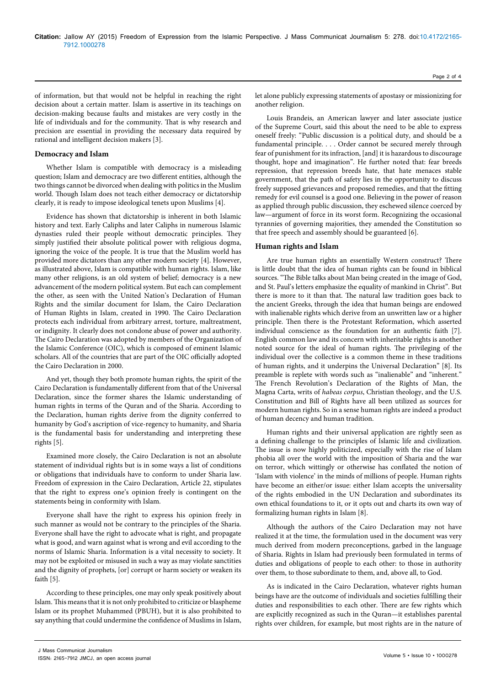of information, but that would not be helpful in reaching the right decision about a certain matter. Islam is assertive in its teachings on decision-making because faults and mistakes are very costly in the life of individuals and for the community. That is why research and precision are essential in providing the necessary data required by rational and intelligent decision makers [3].

## **Democracy and Islam**

Whether Islam is compatible with democracy is a misleading question; Islam and democracy are two different entities, although the two things cannot be divorced when dealing with politics in the Muslim world. Though Islam does not teach either democracy or dictatorship clearly, it is ready to impose ideological tenets upon Muslims [4].

Evidence has shown that dictatorship is inherent in both Islamic history and text. Early Caliphs and later Caliphs in numerous Islamic dynasties ruled their people without democratic principles. They simply justified their absolute political power with religious dogma, ignoring the voice of the people. It is true that the Muslim world has provided more dictators than any other modern society [4]. However, as illustrated above, Islam is compatible with human rights. Islam, like many other religions, is an old system of belief; democracy is a new advancement of the modern political system. But each can complement the other, as seen with the United Nation's Declaration of Human Rights and the similar document for Islam, the Cairo Declaration of Human Rights in Islam, created in 1990. The Cairo Declaration protects each individual from arbitrary arrest, torture, maltreatment, or indignity. It clearly does not condone abuse of power and authority. The Cairo Declaration was adopted by members of the Organization of the Islamic Conference (OIC), which is composed of eminent Islamic scholars. All of the countries that are part of the OIC officially adopted the Cairo Declaration in 2000.

And yet, though they both promote human rights, the spirit of the Cairo Declaration is fundamentally different from that of the Universal Declaration, since the former shares the Islamic understanding of human rights in terms of the Quran and of the Sharia. According to the Declaration, human rights derive from the dignity conferred to humanity by God's ascription of vice-regency to humanity, and Sharia is the fundamental basis for understanding and interpreting these rights [5].

Examined more closely, the Cairo Declaration is not an absolute statement of individual rights but is in some ways a list of conditions or obligations that individuals have to conform to under Sharia law. Freedom of expression in the Cairo Declaration, Article 22, stipulates that the right to express one's opinion freely is contingent on the statements being in conformity with Islam.

Everyone shall have the right to express his opinion freely in such manner as would not be contrary to the principles of the Sharia. Everyone shall have the right to advocate what is right, and propagate what is good, and warn against what is wrong and evil according to the norms of Islamic Sharia. Information is a vital necessity to society. It may not be exploited or misused in such a way as may violate sanctities and the dignity of prophets, [or] corrupt or harm society or weaken its faith [5].

According to these principles, one may only speak positively about Islam. This means that it is not only prohibited to criticize or blaspheme Islam or its prophet Muhammed (PBUH), but it is also prohibited to say anything that could undermine the confidence of Muslims in Islam, let alone publicly expressing statements of apostasy or missionizing for another religion.

Louis Brandeis, an American lawyer and later associate justice of the Supreme Court, said this about the need to be able to express oneself freely: "Public discussion is a political duty, and should be a fundamental principle. . . . Order cannot be secured merely through fear of punishment for its infraction, [and] it is hazardous to discourage thought, hope and imagination". He further noted that: fear breeds repression, that repression breeds hate, that hate menaces stable government, that the path of safety lies in the opportunity to discuss freely supposed grievances and proposed remedies, and that the fitting remedy for evil counsel is a good one. Believing in the power of reason as applied through public discussion, they eschewed silence coerced by law—argument of force in its worst form. Recognizing the occasional tyrannies of governing majorities, they amended the Constitution so that free speech and assembly should be guaranteed [6].

#### **Human rights and Islam**

Are true human rights an essentially Western construct? There is little doubt that the idea of human rights can be found in biblical sources. "The Bible talks about Man being created in the image of God, and St. Paul's letters emphasize the equality of mankind in Christ". But there is more to it than that. The natural law tradition goes back to the ancient Greeks, through the idea that human beings are endowed with inalienable rights which derive from an unwritten law or a higher principle. Then there is the Protestant Reformation, which asserted individual conscience as the foundation for an authentic faith [7]. English common law and its concern with inheritable rights is another noted source for the ideal of human rights. The privileging of the individual over the collective is a common theme in these traditions of human rights, and it underpins the Universal Declaration" [8]. Its preamble is replete with words such as "inalienable" and "inherent." The French Revolution's Declaration of the Rights of Man, the Magna Carta, writs of *habeas corpus*, Christian theology, and the U.S. Constitution and Bill of Rights have all been utilized as sources for modern human rights. So in a sense human rights are indeed a product of human decency and human tradition.

Human rights and their universal application are rightly seen as a defining challenge to the principles of Islamic life and civilization. The issue is now highly politicized, especially with the rise of Islam phobia all over the world with the imposition of Sharia and the war on terror, which wittingly or otherwise has conflated the notion of 'Islam with violence' in the minds of millions of people. Human rights have become an either/or issue: either Islam accepts the universality of the rights embodied in the UN Declaration and subordinates its own ethical foundations to it, or it opts out and charts its own way of formalizing human rights in Islam [8].

Although the authors of the Cairo Declaration may not have realized it at the time, the formulation used in the document was very much derived from modern preconceptions, garbed in the language of Sharia. Rights in Islam had previously been formulated in terms of duties and obligations of people to each other: to those in authority over them, to those subordinate to them, and, above all, to God.

As is indicated in the Cairo Declaration, whatever rights human beings have are the outcome of individuals and societies fulfilling their duties and responsibilities to each other. There are few rights which are explicitly recognized as such in the Quran—it establishes parental rights over children, for example, but most rights are in the nature of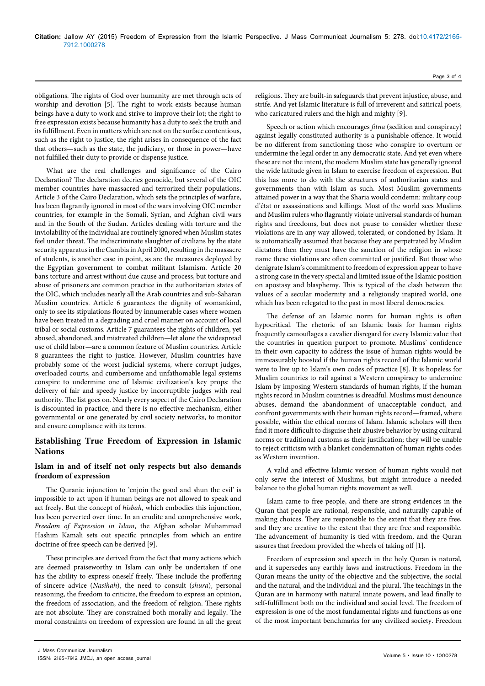obligations. The rights of God over humanity are met through acts of worship and devotion [5]. The right to work exists because human beings have a duty to work and strive to improve their lot; the right to free expression exists because humanity has a duty to seek the truth and its fulfillment. Even in matters which are not on the surface contentious, such as the right to justice, the right arises in consequence of the fact that others—such as the state, the judiciary, or those in power—have not fulfilled their duty to provide or dispense justice.

What are the real challenges and significance of the Cairo Declaration? The declaration decries genocide, but several of the OIC member countries have massacred and terrorized their populations. Article 3 of the Cairo Declaration, which sets the principles of warfare, has been flagrantly ignored in most of the wars involving OIC member countries, for example in the Somali, Syrian, and Afghan civil wars and in the South of the Sudan. Articles dealing with torture and the inviolability of the individual are routinely ignored when Muslim states feel under threat. The indiscriminate slaughter of civilians by the state security apparatus in the Gambia in April 2000, resulting in the massacre of students, is another case in point, as are the measures deployed by the Egyptian government to combat militant Islamism. Article 20 bans torture and arrest without due cause and process, but torture and abuse of prisoners are common practice in the authoritarian states of the OIC, which includes nearly all the Arab countries and sub-Saharan Muslim countries. Article 6 guarantees the dignity of womankind, only to see its stipulations flouted by innumerable cases where women have been treated in a degrading and cruel manner on account of local tribal or social customs. Article 7 guarantees the rights of children, yet abused, abandoned, and mistreated children—let alone the widespread use of child labor—are a common feature of Muslim countries. Article 8 guarantees the right to justice. However, Muslim countries have probably some of the worst judicial systems, where corrupt judges, overloaded courts, and cumbersome and unfathomable legal systems conspire to undermine one of Islamic civilization's key props: the delivery of fair and speedy justice by incorruptible judges with real authority. The list goes on. Nearly every aspect of the Cairo Declaration is discounted in practice, and there is no effective mechanism, either governmental or one generated by civil society networks, to monitor and ensure compliance with its terms.

# **Establishing True Freedom of Expression in Islamic Nations**

# **Islam in and of itself not only respects but also demands freedom of expression**

The Quranic injunction to 'enjoin the good and shun the evil' is impossible to act upon if human beings are not allowed to speak and act freely. But the concept of *hisbah*, which embodies this injunction, has been perverted over time. In an erudite and comprehensive work, *Freedom of Expression in Islam*, the Afghan scholar Muhammad Hashim Kamali sets out specific principles from which an entire doctrine of free speech can be derived [9].

These principles are derived from the fact that many actions which are deemed praiseworthy in Islam can only be undertaken if one has the ability to express oneself freely. These include the proffering of sincere advice (*Nasihah*), the need to consult (*shura*), personal reasoning, the freedom to criticize, the freedom to express an opinion, the freedom of association, and the freedom of religion. These rights are not absolute. They are constrained both morally and legally. The moral constraints on freedom of expression are found in all the great

Page 3 of 4

Speech or action which encourages *fitna* (sedition and conspiracy) against legally constituted authority is a punishable offence. It would be no different from sanctioning those who conspire to overturn or undermine the legal order in any democratic state. And yet even where these are not the intent, the modern Muslim state has generally ignored the wide latitude given in Islam to exercise freedom of expression. But this has more to do with the structures of authoritarian states and governments than with Islam as such. Most Muslim governments attained power in a way that the Sharia would condemn: military coup d'état or assassinations and killings. Most of the world sees Muslims and Muslim rulers who flagrantly violate universal standards of human rights and freedoms, but does not pause to consider whether these violations are in any way allowed, tolerated, or condoned by Islam. It is automatically assumed that because they are perpetrated by Muslim dictators then they must have the sanction of the religion in whose name these violations are often committed or justified. But those who denigrate Islam's commitment to freedom of expression appear to have a strong case in the very special and limited issue of the Islamic position on apostasy and blasphemy. This is typical of the clash between the values of a secular modernity and a religiously inspired world, one which has been relegated to the past in most liberal democracies.

The defense of an Islamic norm for human rights is often hypocritical. The rhetoric of an Islamic basis for human rights frequently camouflages a cavalier disregard for every Islamic value that the countries in question purport to promote. Muslims' confidence in their own capacity to address the issue of human rights would be immeasurably boosted if the human rights record of the Islamic world were to live up to Islam's own codes of practice [8]. It is hopeless for Muslim countries to rail against a Western conspiracy to undermine Islam by imposing Western standards of human rights, if the human rights record in Muslim countries is dreadful. Muslims must denounce abuses, demand the abandonment of unacceptable conduct, and confront governments with their human rights record—framed, where possible, within the ethical norms of Islam. Islamic scholars will then find it more difficult to disguise their abusive behavior by using cultural norms or traditional customs as their justification; they will be unable to reject criticism with a blanket condemnation of human rights codes as Western invention.

A valid and effective Islamic version of human rights would not only serve the interest of Muslims, but might introduce a needed balance to the global human rights movement as well.

Islam came to free people, and there are strong evidences in the Quran that people are rational, responsible, and naturally capable of making choices. They are responsible to the extent that they are free, and they are creative to the extent that they are free and responsible. The advancement of humanity is tied with freedom, and the Quran assures that freedom provided the wheels of taking off [1].

Freedom of expression and speech in the holy Quran is natural, and it supersedes any earthly laws and instructions. Freedom in the Quran means the unity of the objective and the subjective, the social and the natural, and the individual and the plural. The teachings in the Quran are in harmony with natural innate powers, and lead finally to self-fulfillment both on the individual and social level. The freedom of expression is one of the most fundamental rights and functions as one of the most important benchmarks for any civilized society. Freedom